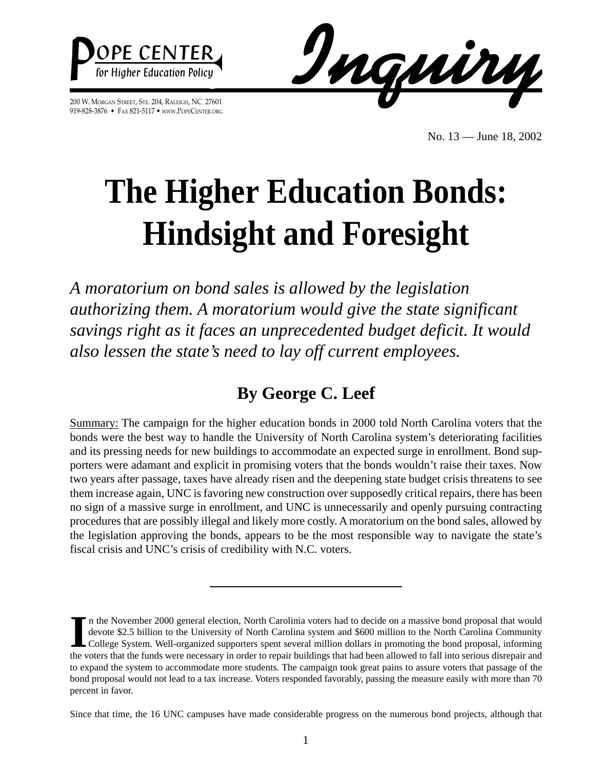

919-828-3876 • FAX 821-5117 • WWW.POPECENTER.ORG



No. 13 — June 18, 2002

# **The Higher Education Bonds: Hindsight and Foresight**

*A moratorium on bond sales is allowed by the legislation authorizing them. A moratorium would give the state significant savings right as it faces an unprecedented budget deficit. It would also lessen the state's need to lay off current employees.*

## **By George C. Leef**

Summary: The campaign for the higher education bonds in 2000 told North Carolina voters that the bonds were the best way to handle the University of North Carolina system's deteriorating facilities and its pressing needs for new buildings to accommodate an expected surge in enrollment. Bond supporters were adamant and explicit in promising voters that the bonds wouldn't raise their taxes. Now two years after passage, taxes have already risen and the deepening state budget crisis threatens to see them increase again, UNC is favoring new construction over supposedly critical repairs, there has been no sign of a massive surge in enrollment, and UNC is unnecessarily and openly pursuing contracting procedures that are possibly illegal and likely more costly. A moratorium on the bond sales, allowed by the legislation approving the bonds, appears to be the most responsible way to navigate the state's fiscal crisis and UNC's crisis of credibility with N.C. voters.

In the November 2000 general election, North Carolinia voters had to decide on a massive bond proposal that would devote \$2.5 billion to the University of North Carolina system and \$600 million to the North Carolina Commun n the November 2000 general election, North Carolinia voters had to decide on a massive bond proposal that would devote \$2.5 billion to the University of North Carolina system and \$600 million to the North Carolina Community College System. Well-organized supporters spent several million dollars in promoting the bond proposal, informing to expand the system to accommodate more students. The campaign took great pains to assure voters that passage of the bond proposal would not lead to a tax increase. Voters responded favorably, passing the measure easily with more than 70 percent in favor.

Since that time, the 16 UNC campuses have made considerable progress on the numerous bond projects, although that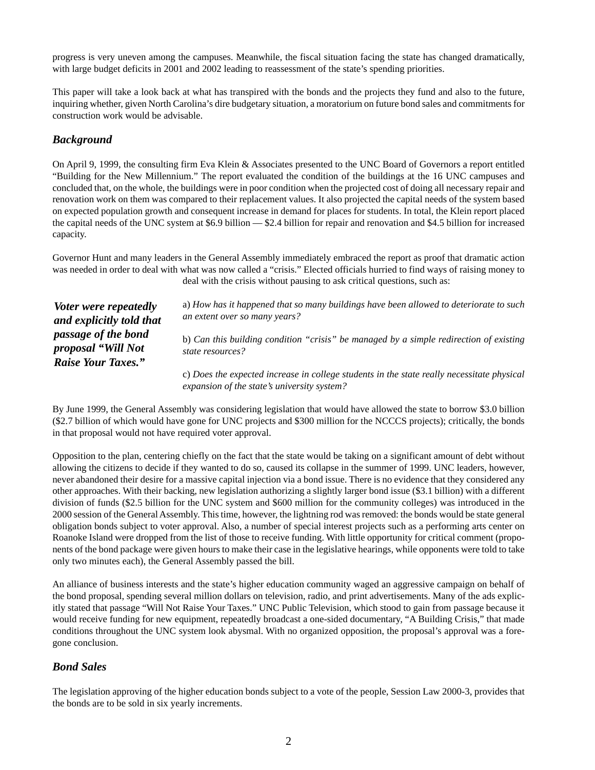progress is very uneven among the campuses. Meanwhile, the fiscal situation facing the state has changed dramatically, with large budget deficits in 2001 and 2002 leading to reassessment of the state's spending priorities.

This paper will take a look back at what has transpired with the bonds and the projects they fund and also to the future, inquiring whether, given North Carolina's dire budgetary situation, a moratorium on future bond sales and commitments for construction work would be advisable.

#### *Background*

On April 9, 1999, the consulting firm Eva Klein & Associates presented to the UNC Board of Governors a report entitled "Building for the New Millennium." The report evaluated the condition of the buildings at the 16 UNC campuses and concluded that, on the whole, the buildings were in poor condition when the projected cost of doing all necessary repair and renovation work on them was compared to their replacement values. It also projected the capital needs of the system based on expected population growth and consequent increase in demand for places for students. In total, the Klein report placed the capital needs of the UNC system at \$6.9 billion — \$2.4 billion for repair and renovation and \$4.5 billion for increased capacity.

Governor Hunt and many leaders in the General Assembly immediately embraced the report as proof that dramatic action was needed in order to deal with what was now called a "crisis." Elected officials hurried to find ways of raising money to deal with the crisis without pausing to ask critical questions, such as:

*Voter were repeatedly and explicitly told that passage of the bond proposal "Will Not Raise Your Taxes."*

a) *How has it happened that so many buildings have been allowed to deteriorate to such an extent over so many years?*

b) *Can this building condition "crisis" be managed by a simple redirection of existing state resources?*

c) *Does the expected increase in college students in the state really necessitate physical expansion of the state's university system?*

By June 1999, the General Assembly was considering legislation that would have allowed the state to borrow \$3.0 billion (\$2.7 billion of which would have gone for UNC projects and \$300 million for the NCCCS projects); critically, the bonds in that proposal would not have required voter approval.

Opposition to the plan, centering chiefly on the fact that the state would be taking on a significant amount of debt without allowing the citizens to decide if they wanted to do so, caused its collapse in the summer of 1999. UNC leaders, however, never abandoned their desire for a massive capital injection via a bond issue. There is no evidence that they considered any other approaches. With their backing, new legislation authorizing a slightly larger bond issue (\$3.1 billion) with a different division of funds (\$2.5 billion for the UNC system and \$600 million for the community colleges) was introduced in the 2000 session of the General Assembly. This time, however, the lightning rod was removed: the bonds would be state general obligation bonds subject to voter approval. Also, a number of special interest projects such as a performing arts center on Roanoke Island were dropped from the list of those to receive funding. With little opportunity for critical comment (proponents of the bond package were given hours to make their case in the legislative hearings, while opponents were told to take only two minutes each), the General Assembly passed the bill.

An alliance of business interests and the state's higher education community waged an aggressive campaign on behalf of the bond proposal, spending several million dollars on television, radio, and print advertisements. Many of the ads explicitly stated that passage "Will Not Raise Your Taxes." UNC Public Television, which stood to gain from passage because it would receive funding for new equipment, repeatedly broadcast a one-sided documentary, "A Building Crisis," that made conditions throughout the UNC system look abysmal. With no organized opposition, the proposal's approval was a foregone conclusion.

#### *Bond Sales*

The legislation approving of the higher education bonds subject to a vote of the people, Session Law 2000-3, provides that the bonds are to be sold in six yearly increments.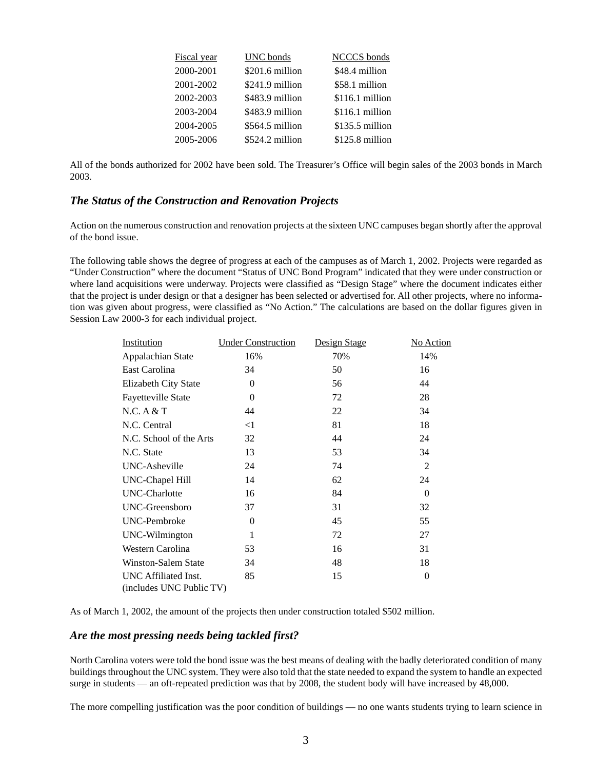| <b>Fiscal</b> year | <b>UNC</b> bonds | <b>NCCCS</b> bonds |
|--------------------|------------------|--------------------|
| 2000-2001          | \$201.6 million  | \$48.4 million     |
| 2001-2002          | \$241.9 million  | \$58.1 million     |
| 2002-2003          | \$483.9 million  | \$116.1 million    |
| 2003-2004          | \$483.9 million  | \$116.1 million    |
| 2004-2005          | \$564.5 million  | $$135.5$ million   |
| 2005-2006          | \$524.2 million  | $$125.8$ million   |

All of the bonds authorized for 2002 have been sold. The Treasurer's Office will begin sales of the 2003 bonds in March 2003.

#### *The Status of the Construction and Renovation Projects*

Action on the numerous construction and renovation projects at the sixteen UNC campuses began shortly after the approval of the bond issue.

The following table shows the degree of progress at each of the campuses as of March 1, 2002. Projects were regarded as "Under Construction" where the document "Status of UNC Bond Program" indicated that they were under construction or where land acquisitions were underway. Projects were classified as "Design Stage" where the document indicates either that the project is under design or that a designer has been selected or advertised for. All other projects, where no information was given about progress, were classified as "No Action." The calculations are based on the dollar figures given in Session Law 2000-3 for each individual project.

| Institution                                      | <b>Under Construction</b> | Design Stage | No Action      |
|--------------------------------------------------|---------------------------|--------------|----------------|
| Appalachian State                                | 16%                       | 70%          | 14%            |
| East Carolina                                    | 34                        | 50           | 16             |
| Elizabeth City State                             | $\Omega$                  | 56           | 44             |
| <b>Fayetteville State</b>                        | $\Omega$                  | 72           | 28             |
| N.C. A & T                                       | 44                        | 22           | 34             |
| N.C. Central                                     | $<$ 1                     | 81           | 18             |
| N.C. School of the Arts                          | 32                        | 44           | 24             |
| N.C. State                                       | 13                        | 53           | 34             |
| UNC-Asheville                                    | 24                        | 74           | $\overline{2}$ |
| UNC-Chapel Hill                                  | 14                        | 62           | 24             |
| <b>UNC-Charlotte</b>                             | 16                        | 84           | $\Omega$       |
| UNC-Greensboro                                   | 37                        | 31           | 32             |
| <b>UNC-Pembroke</b>                              | $\theta$                  | 45           | 55             |
| UNC-Wilmington                                   | 1                         | 72           | 27             |
| Western Carolina                                 | 53                        | 16           | 31             |
| <b>Winston-Salem State</b>                       | 34                        | 48           | 18             |
| UNC Affiliated Inst.<br>(includes UNC Public TV) | 85                        | 15           | $\theta$       |

As of March 1, 2002, the amount of the projects then under construction totaled \$502 million.

#### *Are the most pressing needs being tackled first?*

North Carolina voters were told the bond issue was the best means of dealing with the badly deteriorated condition of many buildings throughout the UNC system. They were also told that the state needed to expand the system to handle an expected surge in students — an oft-repeated prediction was that by 2008, the student body will have increased by 48,000.

The more compelling justification was the poor condition of buildings — no one wants students trying to learn science in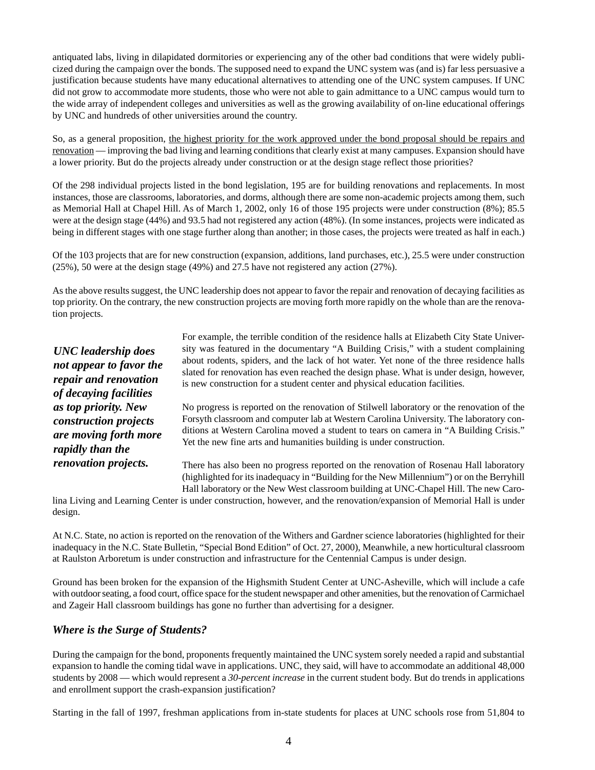antiquated labs, living in dilapidated dormitories or experiencing any of the other bad conditions that were widely publicized during the campaign over the bonds. The supposed need to expand the UNC system was (and is) far less persuasive a justification because students have many educational alternatives to attending one of the UNC system campuses. If UNC did not grow to accommodate more students, those who were not able to gain admittance to a UNC campus would turn to the wide array of independent colleges and universities as well as the growing availability of on-line educational offerings by UNC and hundreds of other universities around the country.

So, as a general proposition, the highest priority for the work approved under the bond proposal should be repairs and renovation — improving the bad living and learning conditions that clearly exist at many campuses. Expansion should have a lower priority. But do the projects already under construction or at the design stage reflect those priorities?

Of the 298 individual projects listed in the bond legislation, 195 are for building renovations and replacements. In most instances, those are classrooms, laboratories, and dorms, although there are some non-academic projects among them, such as Memorial Hall at Chapel Hill. As of March 1, 2002, only 16 of those 195 projects were under construction (8%); 85.5 were at the design stage (44%) and 93.5 had not registered any action (48%). (In some instances, projects were indicated as being in different stages with one stage further along than another; in those cases, the projects were treated as half in each.)

Of the 103 projects that are for new construction (expansion, additions, land purchases, etc.), 25.5 were under construction (25%), 50 were at the design stage (49%) and 27.5 have not registered any action (27%).

As the above results suggest, the UNC leadership does not appear to favor the repair and renovation of decaying facilities as top priority. On the contrary, the new construction projects are moving forth more rapidly on the whole than are the renovation projects.

*UNC leadership does not appear to favor the repair and renovation of decaying facilities as top priority. New construction projects are moving forth more rapidly than the renovation projects.*

For example, the terrible condition of the residence halls at Elizabeth City State University was featured in the documentary "A Building Crisis," with a student complaining about rodents, spiders, and the lack of hot water. Yet none of the three residence halls slated for renovation has even reached the design phase. What is under design, however, is new construction for a student center and physical education facilities.

No progress is reported on the renovation of Stilwell laboratory or the renovation of the Forsyth classroom and computer lab at Western Carolina University. The laboratory conditions at Western Carolina moved a student to tears on camera in "A Building Crisis." Yet the new fine arts and humanities building is under construction.

There has also been no progress reported on the renovation of Rosenau Hall laboratory (highlighted for its inadequacy in "Building for the New Millennium") or on the Berryhill Hall laboratory or the New West classroom building at UNC-Chapel Hill. The new Caro-

lina Living and Learning Center is under construction, however, and the renovation/expansion of Memorial Hall is under design.

At N.C. State, no action is reported on the renovation of the Withers and Gardner science laboratories (highlighted for their inadequacy in the N.C. State Bulletin, "Special Bond Edition" of Oct. 27, 2000), Meanwhile, a new horticultural classroom at Raulston Arboretum is under construction and infrastructure for the Centennial Campus is under design.

Ground has been broken for the expansion of the Highsmith Student Center at UNC-Asheville, which will include a cafe with outdoor seating, a food court, office space for the student newspaper and other amenities, but the renovation of Carmichael and Zageir Hall classroom buildings has gone no further than advertising for a designer.

#### *Where is the Surge of Students?*

During the campaign for the bond, proponents frequently maintained the UNC system sorely needed a rapid and substantial expansion to handle the coming tidal wave in applications. UNC, they said, will have to accommodate an additional 48,000 students by 2008 — which would represent a *30-percent increase* in the current student body. But do trends in applications and enrollment support the crash-expansion justification?

Starting in the fall of 1997, freshman applications from in-state students for places at UNC schools rose from 51,804 to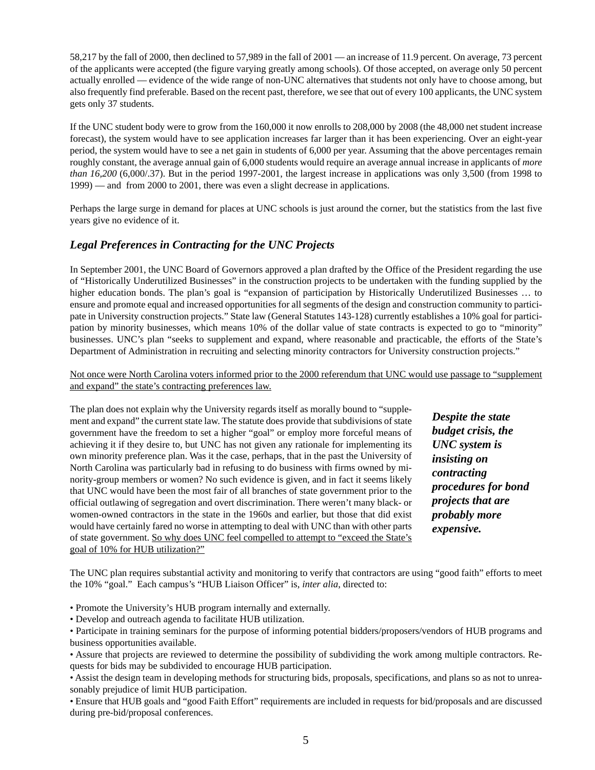58,217 by the fall of 2000, then declined to 57,989 in the fall of 2001 — an increase of 11.9 percent. On average, 73 percent of the applicants were accepted (the figure varying greatly among schools). Of those accepted, on average only 50 percent actually enrolled — evidence of the wide range of non-UNC alternatives that students not only have to choose among, but also frequently find preferable. Based on the recent past, therefore, we see that out of every 100 applicants, the UNC system gets only 37 students.

If the UNC student body were to grow from the 160,000 it now enrolls to 208,000 by 2008 (the 48,000 net student increase forecast), the system would have to see application increases far larger than it has been experiencing. Over an eight-year period, the system would have to see a net gain in students of 6,000 per year. Assuming that the above percentages remain roughly constant, the average annual gain of 6,000 students would require an average annual increase in applicants of *more than 16,200* (6,000/.37). But in the period 1997-2001, the largest increase in applications was only 3,500 (from 1998 to 1999) — and from 2000 to 2001, there was even a slight decrease in applications.

Perhaps the large surge in demand for places at UNC schools is just around the corner, but the statistics from the last five years give no evidence of it.

### *Legal Preferences in Contracting for the UNC Projects*

In September 2001, the UNC Board of Governors approved a plan drafted by the Office of the President regarding the use of "Historically Underutilized Businesses" in the construction projects to be undertaken with the funding supplied by the higher education bonds. The plan's goal is "expansion of participation by Historically Underutilized Businesses ... to ensure and promote equal and increased opportunities for all segments of the design and construction community to participate in University construction projects." State law (General Statutes 143-128) currently establishes a 10% goal for participation by minority businesses, which means 10% of the dollar value of state contracts is expected to go to "minority" businesses. UNC's plan "seeks to supplement and expand, where reasonable and practicable, the efforts of the State's Department of Administration in recruiting and selecting minority contractors for University construction projects."

Not once were North Carolina voters informed prior to the 2000 referendum that UNC would use passage to "supplement and expand" the state's contracting preferences law.

The plan does not explain why the University regards itself as morally bound to "supplement and expand" the current state law. The statute does provide that subdivisions of state government have the freedom to set a higher "goal" or employ more forceful means of achieving it if they desire to, but UNC has not given any rationale for implementing its own minority preference plan. Was it the case, perhaps, that in the past the University of North Carolina was particularly bad in refusing to do business with firms owned by minority-group members or women? No such evidence is given, and in fact it seems likely that UNC would have been the most fair of all branches of state government prior to the official outlawing of segregation and overt discrimination. There weren't many black- or women-owned contractors in the state in the 1960s and earlier, but those that did exist would have certainly fared no worse in attempting to deal with UNC than with other parts of state government. So why does UNC feel compelled to attempt to "exceed the State's goal of 10% for HUB utilization?"

*Despite the state budget crisis, the UNC system is insisting on contracting procedures for bond projects that are probably more expensive.*

The UNC plan requires substantial activity and monitoring to verify that contractors are using "good faith" efforts to meet the 10% "goal." Each campus's "HUB Liaison Officer" is, *inter alia*, directed to:

- Promote the University's HUB program internally and externally.
- Develop and outreach agenda to facilitate HUB utilization.

• Participate in training seminars for the purpose of informing potential bidders/proposers/vendors of HUB programs and business opportunities available.

• Assure that projects are reviewed to determine the possibility of subdividing the work among multiple contractors. Requests for bids may be subdivided to encourage HUB participation.

• Assist the design team in developing methods for structuring bids, proposals, specifications, and plans so as not to unreasonably prejudice of limit HUB participation.

• Ensure that HUB goals and "good Faith Effort" requirements are included in requests for bid/proposals and are discussed during pre-bid/proposal conferences.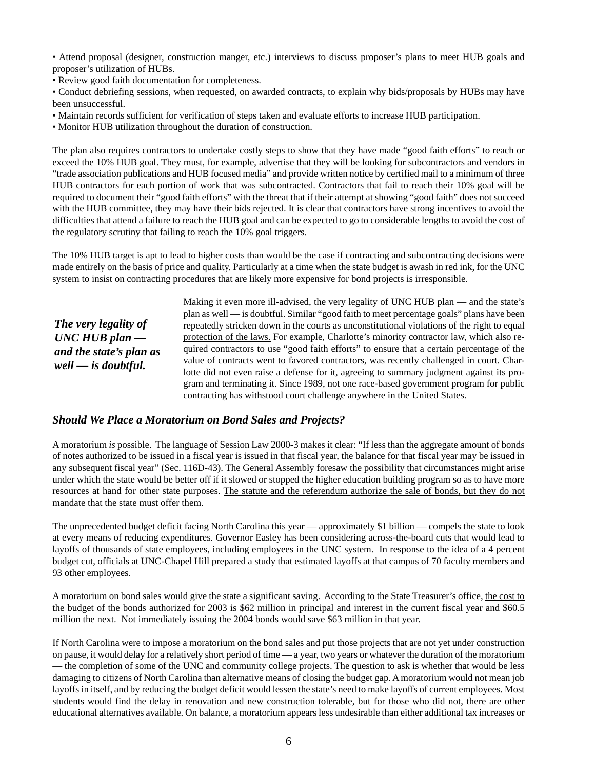• Attend proposal (designer, construction manger, etc.) interviews to discuss proposer's plans to meet HUB goals and proposer's utilization of HUBs.

• Review good faith documentation for completeness.

• Conduct debriefing sessions, when requested, on awarded contracts, to explain why bids/proposals by HUBs may have been unsuccessful.

- Maintain records sufficient for verification of steps taken and evaluate efforts to increase HUB participation.
- Monitor HUB utilization throughout the duration of construction.

The plan also requires contractors to undertake costly steps to show that they have made "good faith efforts" to reach or exceed the 10% HUB goal. They must, for example, advertise that they will be looking for subcontractors and vendors in "trade association publications and HUB focused media" and provide written notice by certified mail to a minimum of three HUB contractors for each portion of work that was subcontracted. Contractors that fail to reach their 10% goal will be required to document their "good faith efforts" with the threat that if their attempt at showing "good faith" does not succeed with the HUB committee, they may have their bids rejected. It is clear that contractors have strong incentives to avoid the difficulties that attend a failure to reach the HUB goal and can be expected to go to considerable lengths to avoid the cost of the regulatory scrutiny that failing to reach the 10% goal triggers.

The 10% HUB target is apt to lead to higher costs than would be the case if contracting and subcontracting decisions were made entirely on the basis of price and quality. Particularly at a time when the state budget is awash in red ink, for the UNC system to insist on contracting procedures that are likely more expensive for bond projects is irresponsible.

*The very legality of UNC HUB plan and the state's plan as well — is doubtful.*

Making it even more ill-advised, the very legality of UNC HUB plan — and the state's plan as well — is doubtful. Similar "good faith to meet percentage goals" plans have been repeatedly stricken down in the courts as unconstitutional violations of the right to equal protection of the laws. For example, Charlotte's minority contractor law, which also required contractors to use "good faith efforts" to ensure that a certain percentage of the value of contracts went to favored contractors, was recently challenged in court. Charlotte did not even raise a defense for it, agreeing to summary judgment against its program and terminating it. Since 1989, not one race-based government program for public contracting has withstood court challenge anywhere in the United States.

#### *Should We Place a Moratorium on Bond Sales and Projects?*

A moratorium *is* possible. The language of Session Law 2000-3 makes it clear: "If less than the aggregate amount of bonds of notes authorized to be issued in a fiscal year is issued in that fiscal year, the balance for that fiscal year may be issued in any subsequent fiscal year" (Sec. 116D-43). The General Assembly foresaw the possibility that circumstances might arise under which the state would be better off if it slowed or stopped the higher education building program so as to have more resources at hand for other state purposes. The statute and the referendum authorize the sale of bonds, but they do not mandate that the state must offer them.

The unprecedented budget deficit facing North Carolina this year — approximately \$1 billion — compels the state to look at every means of reducing expenditures. Governor Easley has been considering across-the-board cuts that would lead to layoffs of thousands of state employees, including employees in the UNC system. In response to the idea of a 4 percent budget cut, officials at UNC-Chapel Hill prepared a study that estimated layoffs at that campus of 70 faculty members and 93 other employees.

A moratorium on bond sales would give the state a significant saving. According to the State Treasurer's office, the cost to the budget of the bonds authorized for 2003 is \$62 million in principal and interest in the current fiscal year and \$60.5 million the next. Not immediately issuing the 2004 bonds would save \$63 million in that year.

If North Carolina were to impose a moratorium on the bond sales and put those projects that are not yet under construction on pause, it would delay for a relatively short period of time — a year, two years or whatever the duration of the moratorium — the completion of some of the UNC and community college projects. The question to ask is whether that would be less damaging to citizens of North Carolina than alternative means of closing the budget gap. A moratorium would not mean job layoffs in itself, and by reducing the budget deficit would lessen the state's need to make layoffs of current employees. Most students would find the delay in renovation and new construction tolerable, but for those who did not, there are other educational alternatives available. On balance, a moratorium appears less undesirable than either additional tax increases or